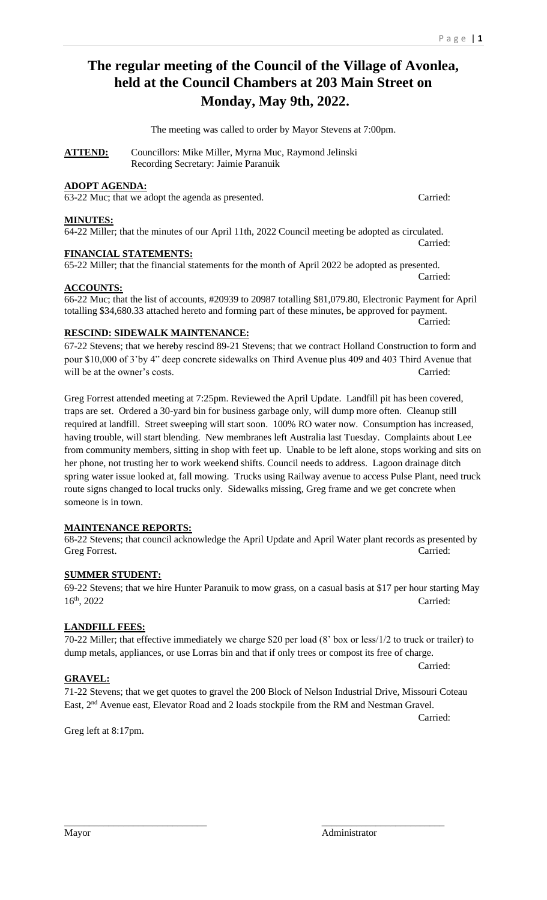# **The regular meeting of the Council of the Village of Avonlea, held at the Council Chambers at 203 Main Street on Monday, May 9th, 2022.**

The meeting was called to order by Mayor Stevens at 7:00pm.

ATTEND: Councillors: Mike Miller, Myrna Muc, Raymond Jelinski Recording Secretary: Jaimie Paranuik

## **ADOPT AGENDA:**

63-22 Muc; that we adopt the agenda as presented. Carried:

#### **MINUTES:**

64-22 Miller; that the minutes of our April 11th, 2022 Council meeting be adopted as circulated.

### **FINANCIAL STATEMENTS:**

65-22 Miller; that the financial statements for the month of April 2022 be adopted as presented.

#### **ACCOUNTS:**

## 66-22 Muc; that the list of accounts, #20939 to 20987 totalling \$81,079.80, Electronic Payment for April totalling \$34,680.33 attached hereto and forming part of these minutes, be approved for payment.

### **RESCIND: SIDEWALK MAINTENANCE:**

67-22 Stevens; that we hereby rescind 89-21 Stevens; that we contract Holland Construction to form and pour \$10,000 of 3'by 4" deep concrete sidewalks on Third Avenue plus 409 and 403 Third Avenue that will be at the owner's costs. Carried:

Greg Forrest attended meeting at 7:25pm. Reviewed the April Update. Landfill pit has been covered, traps are set. Ordered a 30-yard bin for business garbage only, will dump more often. Cleanup still required at landfill. Street sweeping will start soon. 100% RO water now. Consumption has increased, having trouble, will start blending. New membranes left Australia last Tuesday. Complaints about Lee from community members, sitting in shop with feet up. Unable to be left alone, stops working and sits on her phone, not trusting her to work weekend shifts. Council needs to address. Lagoon drainage ditch spring water issue looked at, fall mowing. Trucks using Railway avenue to access Pulse Plant, need truck route signs changed to local trucks only. Sidewalks missing, Greg frame and we get concrete when someone is in town.

#### **MAINTENANCE REPORTS:**

68-22 Stevens; that council acknowledge the April Update and April Water plant records as presented by Greg Forrest. Carried:

## **SUMMER STUDENT:**

69-22 Stevens; that we hire Hunter Paranuik to mow grass, on a casual basis at \$17 per hour starting May 16<sup>th</sup>, 2022 Carried:

#### **LANDFILL FEES:**

70-22 Miller; that effective immediately we charge \$20 per load (8' box or less/1/2 to truck or trailer) to dump metals, appliances, or use Lorras bin and that if only trees or compost its free of charge.

#### **GRAVEL:**

71-22 Stevens; that we get quotes to gravel the 200 Block of Nelson Industrial Drive, Missouri Coteau East, 2<sup>nd</sup> Avenue east, Elevator Road and 2 loads stockpile from the RM and Nestman Gravel.

\_\_\_\_\_\_\_\_\_\_\_\_\_\_\_\_\_\_\_\_\_\_\_\_\_\_\_\_\_ \_\_\_\_\_\_\_\_\_\_\_\_\_\_\_\_\_\_\_\_\_\_\_\_\_

Carried:

Carried:

Greg left at 8:17pm.

Carried:

Carried:

Carried: